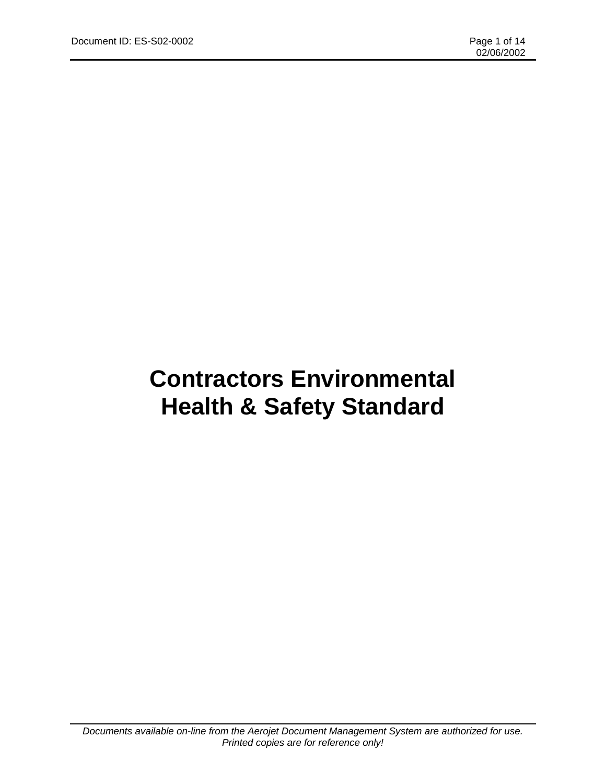# **Contractors Environmental Health & Safety Standard**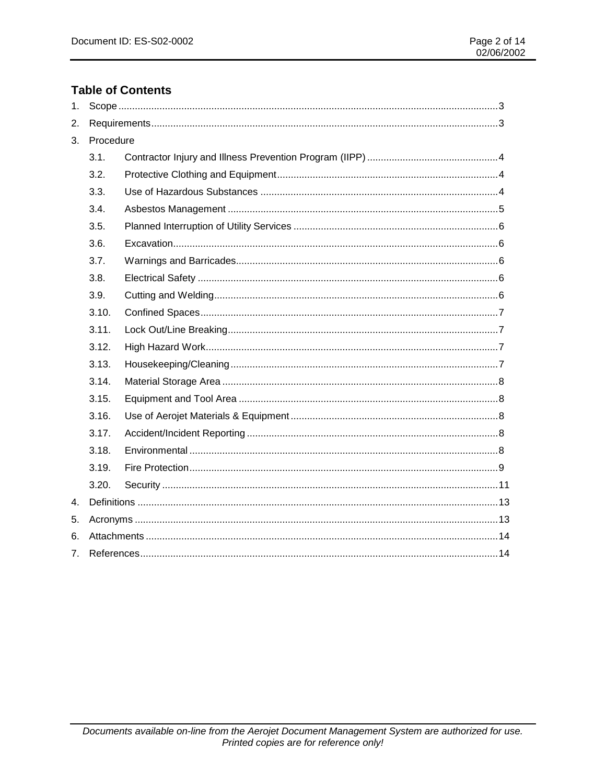## **Table of Contents**

| 1. |           |  |  |  |
|----|-----------|--|--|--|
| 2. |           |  |  |  |
| 3. | Procedure |  |  |  |
|    | 3.1.      |  |  |  |
|    | 3.2.      |  |  |  |
|    | 3.3.      |  |  |  |
|    | 3.4.      |  |  |  |
|    | 3.5.      |  |  |  |
|    | 3.6.      |  |  |  |
|    | 3.7.      |  |  |  |
|    | 3.8.      |  |  |  |
|    | 3.9.      |  |  |  |
|    | 3.10.     |  |  |  |
|    | 3.11.     |  |  |  |
|    | 3.12.     |  |  |  |
|    | 3.13.     |  |  |  |
|    | 3.14.     |  |  |  |
|    | 3.15.     |  |  |  |
|    | 3.16.     |  |  |  |
|    | 3.17.     |  |  |  |
|    | 3.18.     |  |  |  |
|    | 3.19.     |  |  |  |
|    | 3.20.     |  |  |  |
| 4. |           |  |  |  |
| 5. |           |  |  |  |
| 6. |           |  |  |  |
| 7. |           |  |  |  |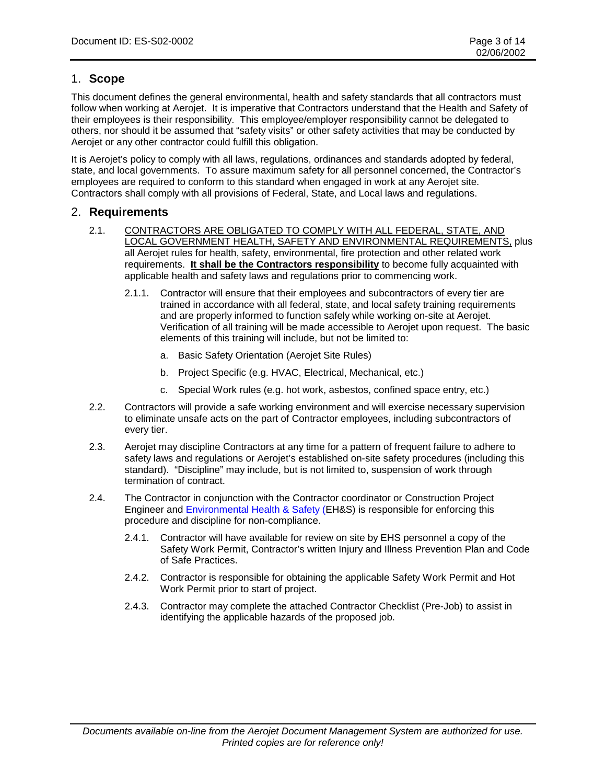## 1. **Scope**

This document defines the general environmental, health and safety standards that all contractors must follow when working at Aerojet. It is imperative that Contractors understand that the Health and Safety of their employees is their responsibility. This employee/employer responsibility cannot be delegated to others, nor should it be assumed that "safety visits" or other safety activities that may be conducted by Aerojet or any other contractor could fulfill this obligation.

It is Aerojet's policy to comply with all laws, regulations, ordinances and standards adopted by federal, state, and local governments. To assure maximum safety for all personnel concerned, the Contractor's employees are required to conform to this standard when engaged in work at any Aerojet site. Contractors shall comply with all provisions of Federal, State, and Local laws and regulations.

### 2. **Requirements**

- 2.1. CONTRACTORS ARE OBLIGATED TO COMPLY WITH ALL FEDERAL, STATE, AND LOCAL GOVERNMENT HEALTH, SAFETY AND ENVIRONMENTAL REQUIREMENTS, plus all Aerojet rules for health, safety, environmental, fire protection and other related work requirements. **It shall be the Contractors responsibility** to become fully acquainted with applicable health and safety laws and regulations prior to commencing work.
	- 2.1.1. Contractor will ensure that their employees and subcontractors of every tier are trained in accordance with all federal, state, and local safety training requirements and are properly informed to function safely while working on-site at Aerojet. Verification of all training will be made accessible to Aerojet upon request. The basic elements of this training will include, but not be limited to:
		- a. Basic Safety Orientation (Aerojet Site Rules)
		- b. Project Specific (e.g. HVAC, Electrical, Mechanical, etc.)
		- c. Special Work rules (e.g. hot work, asbestos, confined space entry, etc.)
- 2.2. Contractors will provide a safe working environment and will exercise necessary supervision to eliminate unsafe acts on the part of Contractor employees, including subcontractors of every tier.
- 2.3. Aerojet may discipline Contractors at any time for a pattern of frequent failure to adhere to safety laws and regulations or Aerojet's established on-site safety procedures (including this standard). "Discipline" may include, but is not limited to, suspension of work through termination of contract.
- 2.4. The Contractor in conjunction with the Contractor coordinator or Construction Project Engineer and Environmental Health & Safety (EH&S) is responsible for enforcing this procedure and discipline for non-compliance.
	- 2.4.1. Contractor will have available for review on site by EHS personnel a copy of the Safety Work Permit, Contractor's written Injury and Illness Prevention Plan and Code of Safe Practices.
	- 2.4.2. Contractor is responsible for obtaining the applicable Safety Work Permit and Hot Work Permit prior to start of project.
	- 2.4.3. Contractor may complete the attached Contractor Checklist (Pre-Job) to assist in identifying the applicable hazards of the proposed job.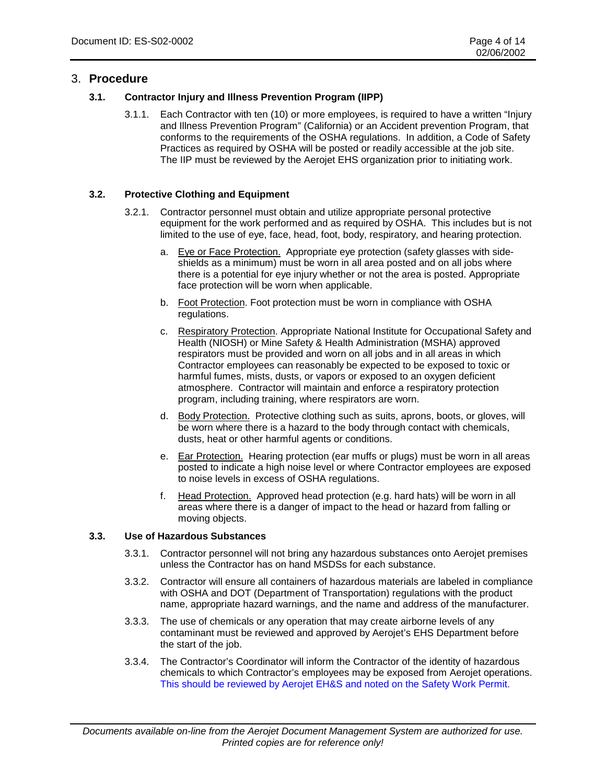## 3. **Procedure**

#### **3.1. Contractor Injury and Illness Prevention Program (IIPP)**

3.1.1. Each Contractor with ten (10) or more employees, is required to have a written "Injury and Illness Prevention Program" (California) or an Accident prevention Program, that conforms to the requirements of the OSHA regulations. In addition, a Code of Safety Practices as required by OSHA will be posted or readily accessible at the job site. The IIP must be reviewed by the Aerojet EHS organization prior to initiating work.

#### **3.2. Protective Clothing and Equipment**

- 3.2.1. Contractor personnel must obtain and utilize appropriate personal protective equipment for the work performed and as required by OSHA. This includes but is not limited to the use of eye, face, head, foot, body, respiratory, and hearing protection.
	- a. Eye or Face Protection. Appropriate eye protection (safety glasses with sideshields as a minimum) must be worn in all area posted and on all jobs where there is a potential for eye injury whether or not the area is posted. Appropriate face protection will be worn when applicable.
	- b. Foot Protection. Foot protection must be worn in compliance with OSHA regulations.
	- c. Respiratory Protection. Appropriate National Institute for Occupational Safety and Health (NIOSH) or Mine Safety & Health Administration (MSHA) approved respirators must be provided and worn on all jobs and in all areas in which Contractor employees can reasonably be expected to be exposed to toxic or harmful fumes, mists, dusts, or vapors or exposed to an oxygen deficient atmosphere. Contractor will maintain and enforce a respiratory protection program, including training, where respirators are worn.
	- d. Body Protection. Protective clothing such as suits, aprons, boots, or gloves, will be worn where there is a hazard to the body through contact with chemicals, dusts, heat or other harmful agents or conditions.
	- e. Ear Protection. Hearing protection (ear muffs or plugs) must be worn in all areas posted to indicate a high noise level or where Contractor employees are exposed to noise levels in excess of OSHA regulations.
	- f. Head Protection. Approved head protection (e.g. hard hats) will be worn in all areas where there is a danger of impact to the head or hazard from falling or moving objects.

#### **3.3. Use of Hazardous Substances**

- 3.3.1. Contractor personnel will not bring any hazardous substances onto Aerojet premises unless the Contractor has on hand MSDSs for each substance.
- 3.3.2. Contractor will ensure all containers of hazardous materials are labeled in compliance with OSHA and DOT (Department of Transportation) regulations with the product name, appropriate hazard warnings, and the name and address of the manufacturer.
- 3.3.3. The use of chemicals or any operation that may create airborne levels of any contaminant must be reviewed and approved by Aerojet's EHS Department before the start of the job.
- 3.3.4. The Contractor's Coordinator will inform the Contractor of the identity of hazardous chemicals to which Contractor's employees may be exposed from Aerojet operations. This should be reviewed by Aerojet EH&S and noted on the Safety Work Permit.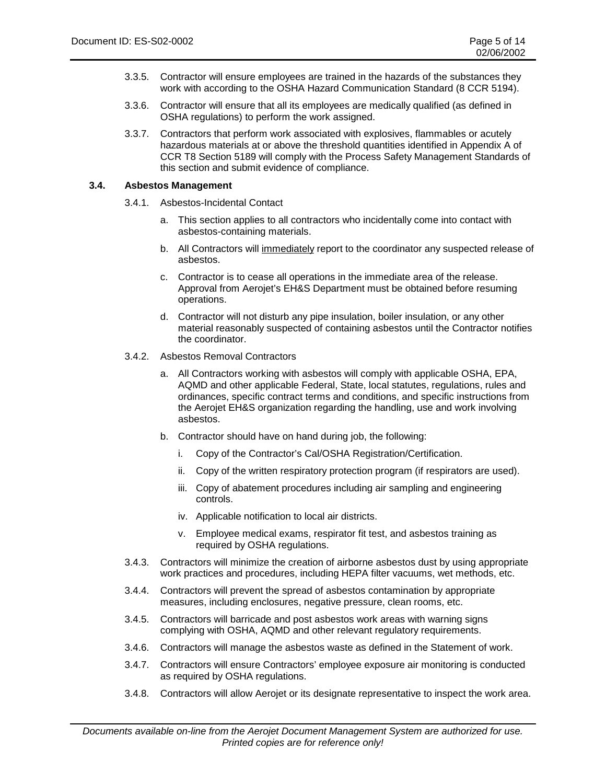- 3.3.5. Contractor will ensure employees are trained in the hazards of the substances they work with according to the OSHA Hazard Communication Standard (8 CCR 5194).
- 3.3.6. Contractor will ensure that all its employees are medically qualified (as defined in OSHA regulations) to perform the work assigned.
- 3.3.7. Contractors that perform work associated with explosives, flammables or acutely hazardous materials at or above the threshold quantities identified in Appendix A of CCR T8 Section 5189 will comply with the Process Safety Management Standards of this section and submit evidence of compliance.

#### **3.4. Asbestos Management**

- 3.4.1. Asbestos-Incidental Contact
	- a. This section applies to all contractors who incidentally come into contact with asbestos-containing materials.
	- b. All Contractors will immediately report to the coordinator any suspected release of asbestos.
	- c. Contractor is to cease all operations in the immediate area of the release. Approval from Aerojet's EH&S Department must be obtained before resuming operations.
	- d. Contractor will not disturb any pipe insulation, boiler insulation, or any other material reasonably suspected of containing asbestos until the Contractor notifies the coordinator.
- 3.4.2. Asbestos Removal Contractors
	- a. All Contractors working with asbestos will comply with applicable OSHA, EPA, AQMD and other applicable Federal, State, local statutes, regulations, rules and ordinances, specific contract terms and conditions, and specific instructions from the Aerojet EH&S organization regarding the handling, use and work involving asbestos.
	- b. Contractor should have on hand during job, the following:
		- i. Copy of the Contractor's Cal/OSHA Registration/Certification.
		- ii. Copy of the written respiratory protection program (if respirators are used).
		- iii. Copy of abatement procedures including air sampling and engineering controls.
		- iv. Applicable notification to local air districts.
		- v. Employee medical exams, respirator fit test, and asbestos training as required by OSHA regulations.
- 3.4.3. Contractors will minimize the creation of airborne asbestos dust by using appropriate work practices and procedures, including HEPA filter vacuums, wet methods, etc.
- 3.4.4. Contractors will prevent the spread of asbestos contamination by appropriate measures, including enclosures, negative pressure, clean rooms, etc.
- 3.4.5. Contractors will barricade and post asbestos work areas with warning signs complying with OSHA, AQMD and other relevant regulatory requirements.
- 3.4.6. Contractors will manage the asbestos waste as defined in the Statement of work.
- 3.4.7. Contractors will ensure Contractors' employee exposure air monitoring is conducted as required by OSHA regulations.
- 3.4.8. Contractors will allow Aerojet or its designate representative to inspect the work area.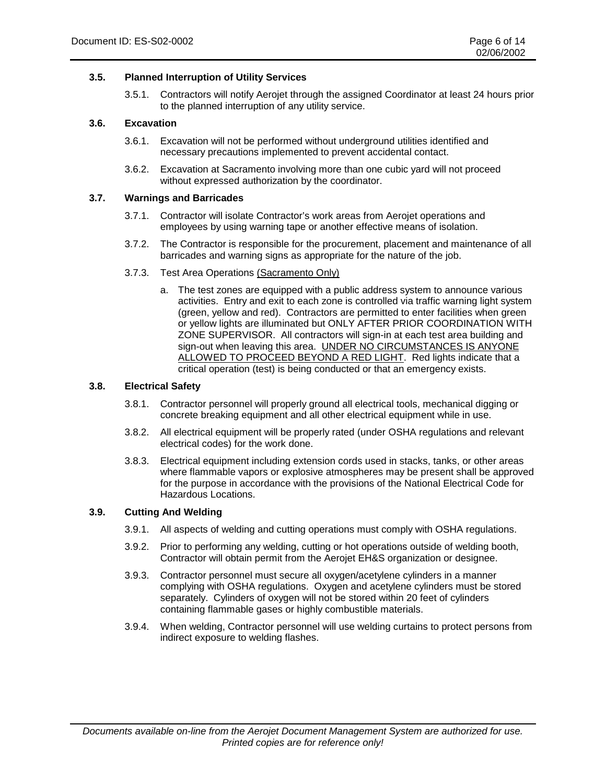#### **3.5. Planned Interruption of Utility Services**

3.5.1. Contractors will notify Aerojet through the assigned Coordinator at least 24 hours prior to the planned interruption of any utility service.

#### **3.6. Excavation**

- 3.6.1. Excavation will not be performed without underground utilities identified and necessary precautions implemented to prevent accidental contact.
- 3.6.2. Excavation at Sacramento involving more than one cubic yard will not proceed without expressed authorization by the coordinator.

#### **3.7. Warnings and Barricades**

- 3.7.1. Contractor will isolate Contractor's work areas from Aerojet operations and employees by using warning tape or another effective means of isolation.
- 3.7.2. The Contractor is responsible for the procurement, placement and maintenance of all barricades and warning signs as appropriate for the nature of the job.
- 3.7.3. Test Area Operations (Sacramento Only)
	- a. The test zones are equipped with a public address system to announce various activities. Entry and exit to each zone is controlled via traffic warning light system (green, yellow and red). Contractors are permitted to enter facilities when green or yellow lights are illuminated but ONLY AFTER PRIOR COORDINATION WITH ZONE SUPERVISOR. All contractors will sign-in at each test area building and sign-out when leaving this area. UNDER NO CIRCUMSTANCES IS ANYONE ALLOWED TO PROCEED BEYOND A RED LIGHT. Red lights indicate that a critical operation (test) is being conducted or that an emergency exists.

#### **3.8. Electrical Safety**

- 3.8.1. Contractor personnel will properly ground all electrical tools, mechanical digging or concrete breaking equipment and all other electrical equipment while in use.
- 3.8.2. All electrical equipment will be properly rated (under OSHA regulations and relevant electrical codes) for the work done.
- 3.8.3. Electrical equipment including extension cords used in stacks, tanks, or other areas where flammable vapors or explosive atmospheres may be present shall be approved for the purpose in accordance with the provisions of the National Electrical Code for Hazardous Locations.

#### **3.9. Cutting And Welding**

- 3.9.1. All aspects of welding and cutting operations must comply with OSHA regulations.
- 3.9.2. Prior to performing any welding, cutting or hot operations outside of welding booth, Contractor will obtain permit from the Aerojet EH&S organization or designee.
- 3.9.3. Contractor personnel must secure all oxygen/acetylene cylinders in a manner complying with OSHA regulations. Oxygen and acetylene cylinders must be stored separately. Cylinders of oxygen will not be stored within 20 feet of cylinders containing flammable gases or highly combustible materials.
- 3.9.4. When welding, Contractor personnel will use welding curtains to protect persons from indirect exposure to welding flashes.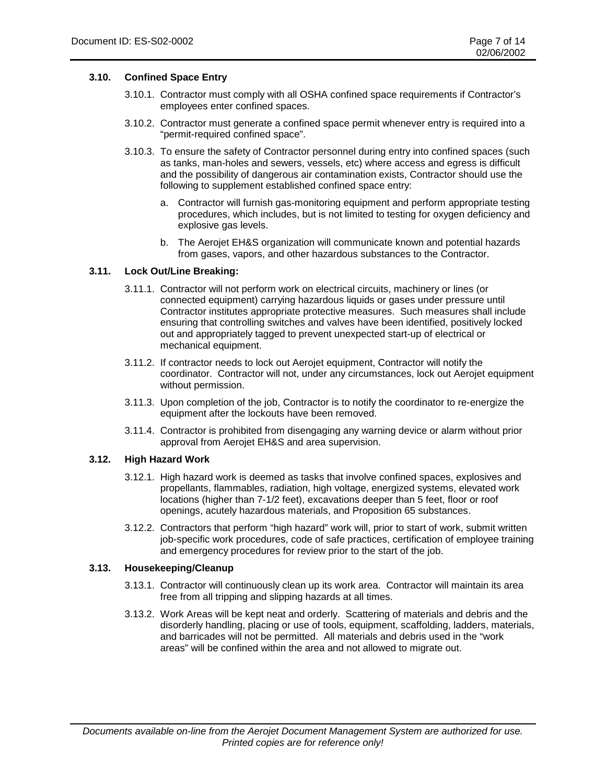#### **3.10. Confined Space Entry**

- 3.10.1. Contractor must comply with all OSHA confined space requirements if Contractor's employees enter confined spaces.
- 3.10.2. Contractor must generate a confined space permit whenever entry is required into a "permit-required confined space".
- 3.10.3. To ensure the safety of Contractor personnel during entry into confined spaces (such as tanks, man-holes and sewers, vessels, etc) where access and egress is difficult and the possibility of dangerous air contamination exists, Contractor should use the following to supplement established confined space entry:
	- a. Contractor will furnish gas-monitoring equipment and perform appropriate testing procedures, which includes, but is not limited to testing for oxygen deficiency and explosive gas levels.
	- b. The Aerojet EH&S organization will communicate known and potential hazards from gases, vapors, and other hazardous substances to the Contractor.

#### **3.11. Lock Out/Line Breaking:**

- 3.11.1. Contractor will not perform work on electrical circuits, machinery or lines (or connected equipment) carrying hazardous liquids or gases under pressure until Contractor institutes appropriate protective measures. Such measures shall include ensuring that controlling switches and valves have been identified, positively locked out and appropriately tagged to prevent unexpected start-up of electrical or mechanical equipment.
- 3.11.2. If contractor needs to lock out Aerojet equipment, Contractor will notify the coordinator. Contractor will not, under any circumstances, lock out Aerojet equipment without permission.
- 3.11.3. Upon completion of the job, Contractor is to notify the coordinator to re-energize the equipment after the lockouts have been removed.
- 3.11.4. Contractor is prohibited from disengaging any warning device or alarm without prior approval from Aerojet EH&S and area supervision.

#### **3.12. High Hazard Work**

- 3.12.1. High hazard work is deemed as tasks that involve confined spaces, explosives and propellants, flammables, radiation, high voltage, energized systems, elevated work locations (higher than 7-1/2 feet), excavations deeper than 5 feet, floor or roof openings, acutely hazardous materials, and Proposition 65 substances.
- 3.12.2. Contractors that perform "high hazard" work will, prior to start of work, submit written job-specific work procedures, code of safe practices, certification of employee training and emergency procedures for review prior to the start of the job.

#### **3.13. Housekeeping/Cleanup**

- 3.13.1. Contractor will continuously clean up its work area. Contractor will maintain its area free from all tripping and slipping hazards at all times.
- 3.13.2. Work Areas will be kept neat and orderly. Scattering of materials and debris and the disorderly handling, placing or use of tools, equipment, scaffolding, ladders, materials, and barricades will not be permitted. All materials and debris used in the "work areas" will be confined within the area and not allowed to migrate out.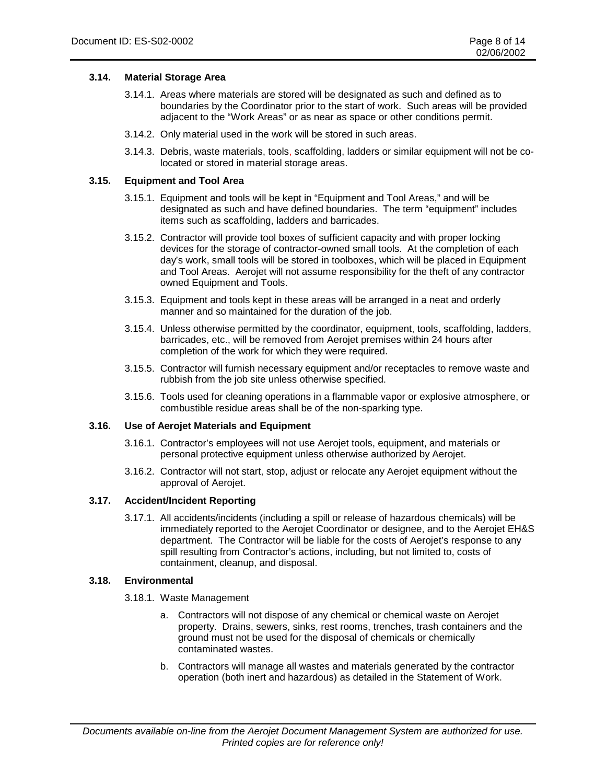#### **3.14. Material Storage Area**

- 3.14.1. Areas where materials are stored will be designated as such and defined as to boundaries by the Coordinator prior to the start of work. Such areas will be provided adjacent to the "Work Areas" or as near as space or other conditions permit.
- 3.14.2. Only material used in the work will be stored in such areas.
- 3.14.3. Debris, waste materials, tools, scaffolding, ladders or similar equipment will not be colocated or stored in material storage areas.

#### **3.15. Equipment and Tool Area**

- 3.15.1. Equipment and tools will be kept in "Equipment and Tool Areas," and will be designated as such and have defined boundaries. The term "equipment" includes items such as scaffolding, ladders and barricades.
- 3.15.2. Contractor will provide tool boxes of sufficient capacity and with proper locking devices for the storage of contractor-owned small tools. At the completion of each day's work, small tools will be stored in toolboxes, which will be placed in Equipment and Tool Areas. Aerojet will not assume responsibility for the theft of any contractor owned Equipment and Tools.
- 3.15.3. Equipment and tools kept in these areas will be arranged in a neat and orderly manner and so maintained for the duration of the job.
- 3.15.4. Unless otherwise permitted by the coordinator, equipment, tools, scaffolding, ladders, barricades, etc., will be removed from Aerojet premises within 24 hours after completion of the work for which they were required.
- 3.15.5. Contractor will furnish necessary equipment and/or receptacles to remove waste and rubbish from the job site unless otherwise specified.
- 3.15.6. Tools used for cleaning operations in a flammable vapor or explosive atmosphere, or combustible residue areas shall be of the non-sparking type.

#### **3.16. Use of Aerojet Materials and Equipment**

- 3.16.1. Contractor's employees will not use Aerojet tools, equipment, and materials or personal protective equipment unless otherwise authorized by Aerojet.
- 3.16.2. Contractor will not start, stop, adjust or relocate any Aerojet equipment without the approval of Aerojet.

#### **3.17. Accident/Incident Reporting**

3.17.1. All accidents/incidents (including a spill or release of hazardous chemicals) will be immediately reported to the Aerojet Coordinator or designee, and to the Aerojet EH&S department. The Contractor will be liable for the costs of Aerojet's response to any spill resulting from Contractor's actions, including, but not limited to, costs of containment, cleanup, and disposal.

#### **3.18. Environmental**

- 3.18.1. Waste Management
	- a. Contractors will not dispose of any chemical or chemical waste on Aerojet property. Drains, sewers, sinks, rest rooms, trenches, trash containers and the ground must not be used for the disposal of chemicals or chemically contaminated wastes.
	- b. Contractors will manage all wastes and materials generated by the contractor operation (both inert and hazardous) as detailed in the Statement of Work.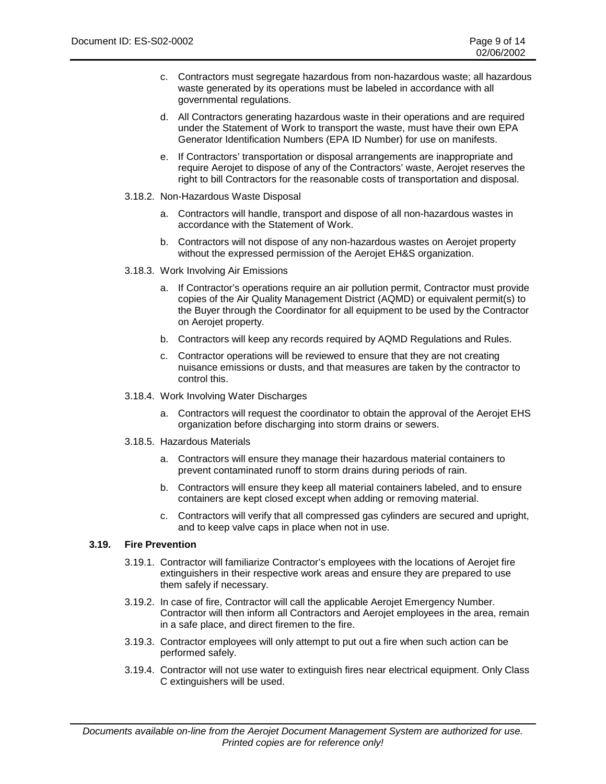- c. Contractors must segregate hazardous from non-hazardous waste; all hazardous waste generated by its operations must be labeled in accordance with all governmental regulations.
- d. All Contractors generating hazardous waste in their operations and are required under the Statement of Work to transport the waste, must have their own EPA Generator Identification Numbers (EPA ID Number) for use on manifests.
- e. If Contractors' transportation or disposal arrangements are inappropriate and require Aerojet to dispose of any of the Contractors' waste, Aerojet reserves the right to bill Contractors for the reasonable costs of transportation and disposal.
- 3.18.2. Non-Hazardous Waste Disposal
	- a. Contractors will handle, transport and dispose of all non-hazardous wastes in accordance with the Statement of Work.
	- b. Contractors will not dispose of any non-hazardous wastes on Aerojet property without the expressed permission of the Aerojet EH&S organization.
- 3.18.3. Work Involving Air Emissions
	- a. If Contractor's operations require an air pollution permit, Contractor must provide copies of the Air Quality Management District (AQMD) or equivalent permit(s) to the Buyer through the Coordinator for all equipment to be used by the Contractor on Aerojet property.
	- b. Contractors will keep any records required by AQMD Regulations and Rules.
	- c. Contractor operations will be reviewed to ensure that they are not creating nuisance emissions or dusts, and that measures are taken by the contractor to control this.
- 3.18.4. Work Involving Water Discharges
	- a. Contractors will request the coordinator to obtain the approval of the Aerojet EHS organization before discharging into storm drains or sewers.
- 3.18.5. Hazardous Materials
	- a. Contractors will ensure they manage their hazardous material containers to prevent contaminated runoff to storm drains during periods of rain.
	- b. Contractors will ensure they keep all material containers labeled, and to ensure containers are kept closed except when adding or removing material.
	- c. Contractors will verify that all compressed gas cylinders are secured and upright, and to keep valve caps in place when not in use.

#### **3.19. Fire Prevention**

- 3.19.1. Contractor will familiarize Contractor's employees with the locations of Aerojet fire extinguishers in their respective work areas and ensure they are prepared to use them safely if necessary.
- 3.19.2. In case of fire, Contractor will call the applicable Aerojet Emergency Number. Contractor will then inform all Contractors and Aerojet employees in the area, remain in a safe place, and direct firemen to the fire.
- 3.19.3. Contractor employees will only attempt to put out a fire when such action can be performed safely.
- 3.19.4. Contractor will not use water to extinguish fires near electrical equipment. Only Class C extinguishers will be used.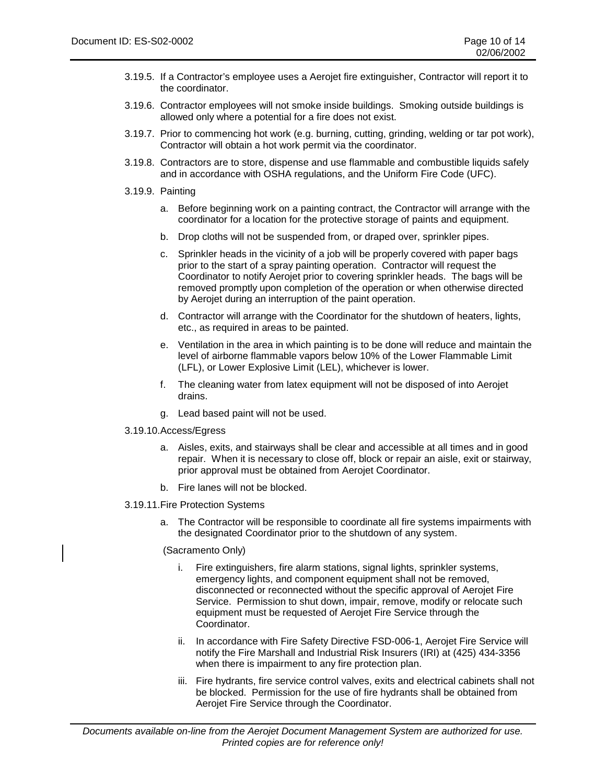- 3.19.5. If a Contractor's employee uses a Aerojet fire extinguisher, Contractor will report it to the coordinator.
- 3.19.6. Contractor employees will not smoke inside buildings. Smoking outside buildings is allowed only where a potential for a fire does not exist.
- 3.19.7. Prior to commencing hot work (e.g. burning, cutting, grinding, welding or tar pot work), Contractor will obtain a hot work permit via the coordinator.
- 3.19.8. Contractors are to store, dispense and use flammable and combustible liquids safely and in accordance with OSHA regulations, and the Uniform Fire Code (UFC).
- 3.19.9. Painting
	- a. Before beginning work on a painting contract, the Contractor will arrange with the coordinator for a location for the protective storage of paints and equipment.
	- b. Drop cloths will not be suspended from, or draped over, sprinkler pipes.
	- c. Sprinkler heads in the vicinity of a job will be properly covered with paper bags prior to the start of a spray painting operation. Contractor will request the Coordinator to notify Aerojet prior to covering sprinkler heads. The bags will be removed promptly upon completion of the operation or when otherwise directed by Aerojet during an interruption of the paint operation.
	- d. Contractor will arrange with the Coordinator for the shutdown of heaters, lights, etc., as required in areas to be painted.
	- e. Ventilation in the area in which painting is to be done will reduce and maintain the level of airborne flammable vapors below 10% of the Lower Flammable Limit (LFL), or Lower Explosive Limit (LEL), whichever is lower.
	- f. The cleaning water from latex equipment will not be disposed of into Aerojet drains.
	- g. Lead based paint will not be used.
- 3.19.10. Access/Egress
	- a. Aisles, exits, and stairways shall be clear and accessible at all times and in good repair. When it is necessary to close off, block or repair an aisle, exit or stairway, prior approval must be obtained from Aerojet Coordinator.
	- b. Fire lanes will not be blocked.
- 3.19.11. Fire Protection Systems
	- a. The Contractor will be responsible to coordinate all fire systems impairments with the designated Coordinator prior to the shutdown of any system.

#### (Sacramento Only)

- i. Fire extinguishers, fire alarm stations, signal lights, sprinkler systems, emergency lights, and component equipment shall not be removed, disconnected or reconnected without the specific approval of Aerojet Fire Service. Permission to shut down, impair, remove, modify or relocate such equipment must be requested of Aerojet Fire Service through the Coordinator.
- ii. In accordance with Fire Safety Directive FSD-006-1, Aerojet Fire Service will notify the Fire Marshall and Industrial Risk Insurers (IRI) at (425) 434-3356 when there is impairment to any fire protection plan.
- iii. Fire hydrants, fire service control valves, exits and electrical cabinets shall not be blocked. Permission for the use of fire hydrants shall be obtained from Aerojet Fire Service through the Coordinator.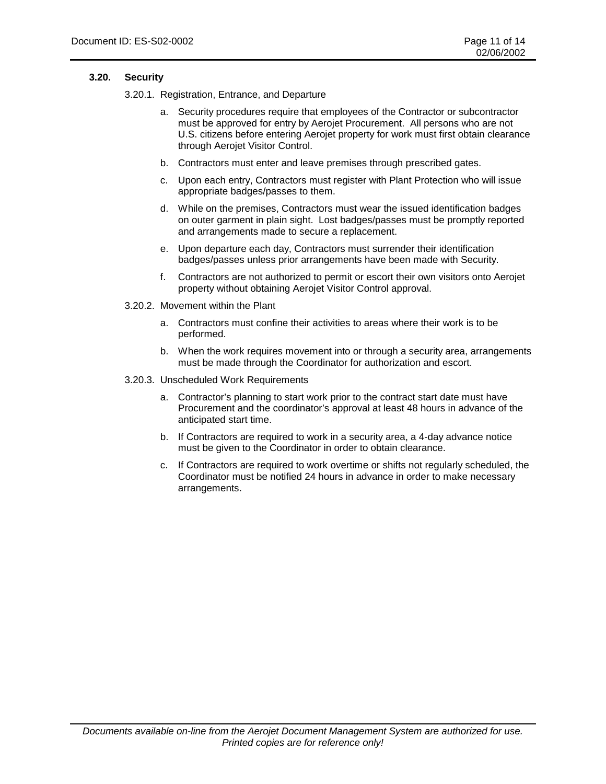#### **3.20. Security**

3.20.1. Registration, Entrance, and Departure

- a. Security procedures require that employees of the Contractor or subcontractor must be approved for entry by Aerojet Procurement. All persons who are not U.S. citizens before entering Aerojet property for work must first obtain clearance through Aerojet Visitor Control.
- b. Contractors must enter and leave premises through prescribed gates.
- c. Upon each entry, Contractors must register with Plant Protection who will issue appropriate badges/passes to them.
- d. While on the premises, Contractors must wear the issued identification badges on outer garment in plain sight. Lost badges/passes must be promptly reported and arrangements made to secure a replacement.
- e. Upon departure each day, Contractors must surrender their identification badges/passes unless prior arrangements have been made with Security.
- f. Contractors are not authorized to permit or escort their own visitors onto Aerojet property without obtaining Aerojet Visitor Control approval.
- 3.20.2. Movement within the Plant
	- a. Contractors must confine their activities to areas where their work is to be performed.
	- b. When the work requires movement into or through a security area, arrangements must be made through the Coordinator for authorization and escort.
- 3.20.3. Unscheduled Work Requirements
	- a. Contractor's planning to start work prior to the contract start date must have Procurement and the coordinator's approval at least 48 hours in advance of the anticipated start time.
	- b. If Contractors are required to work in a security area, a 4-day advance notice must be given to the Coordinator in order to obtain clearance.
	- c. If Contractors are required to work overtime or shifts not regularly scheduled, the Coordinator must be notified 24 hours in advance in order to make necessary arrangements.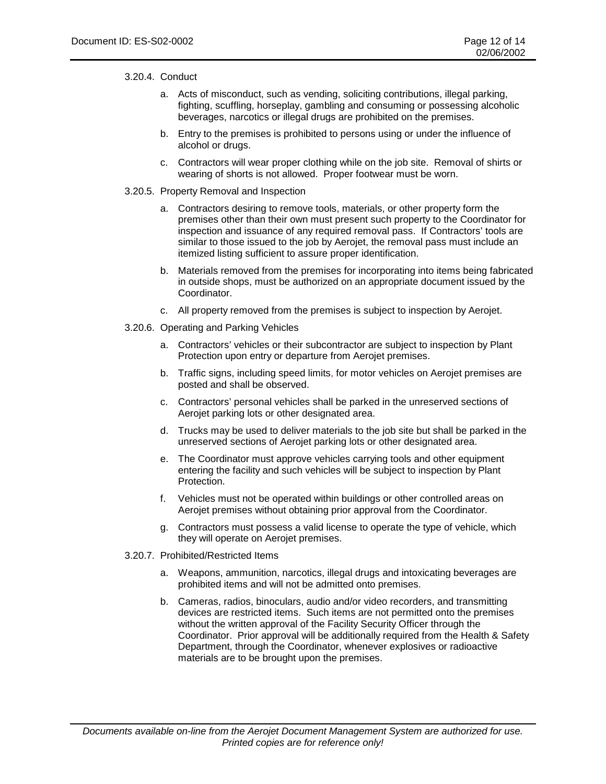#### 3.20.4. Conduct

- a. Acts of misconduct, such as vending, soliciting contributions, illegal parking, fighting, scuffling, horseplay, gambling and consuming or possessing alcoholic beverages, narcotics or illegal drugs are prohibited on the premises.
- b. Entry to the premises is prohibited to persons using or under the influence of alcohol or drugs.
- c. Contractors will wear proper clothing while on the job site. Removal of shirts or wearing of shorts is not allowed. Proper footwear must be worn.

#### 3.20.5. Property Removal and Inspection

- a. Contractors desiring to remove tools, materials, or other property form the premises other than their own must present such property to the Coordinator for inspection and issuance of any required removal pass. If Contractors' tools are similar to those issued to the job by Aerojet, the removal pass must include an itemized listing sufficient to assure proper identification.
- b. Materials removed from the premises for incorporating into items being fabricated in outside shops, must be authorized on an appropriate document issued by the Coordinator.
- c. All property removed from the premises is subject to inspection by Aerojet.
- 3.20.6. Operating and Parking Vehicles
	- a. Contractors' vehicles or their subcontractor are subject to inspection by Plant Protection upon entry or departure from Aerojet premises.
	- b. Traffic signs, including speed limits, for motor vehicles on Aerojet premises are posted and shall be observed.
	- c. Contractors' personal vehicles shall be parked in the unreserved sections of Aerojet parking lots or other designated area.
	- d. Trucks may be used to deliver materials to the job site but shall be parked in the unreserved sections of Aerojet parking lots or other designated area.
	- e. The Coordinator must approve vehicles carrying tools and other equipment entering the facility and such vehicles will be subject to inspection by Plant Protection.
	- f. Vehicles must not be operated within buildings or other controlled areas on Aerojet premises without obtaining prior approval from the Coordinator.
	- g. Contractors must possess a valid license to operate the type of vehicle, which they will operate on Aerojet premises.
- 3.20.7. Prohibited/Restricted Items
	- a. Weapons, ammunition, narcotics, illegal drugs and intoxicating beverages are prohibited items and will not be admitted onto premises.
	- b. Cameras, radios, binoculars, audio and/or video recorders, and transmitting devices are restricted items. Such items are not permitted onto the premises without the written approval of the Facility Security Officer through the Coordinator. Prior approval will be additionally required from the Health & Safety Department, through the Coordinator, whenever explosives or radioactive materials are to be brought upon the premises.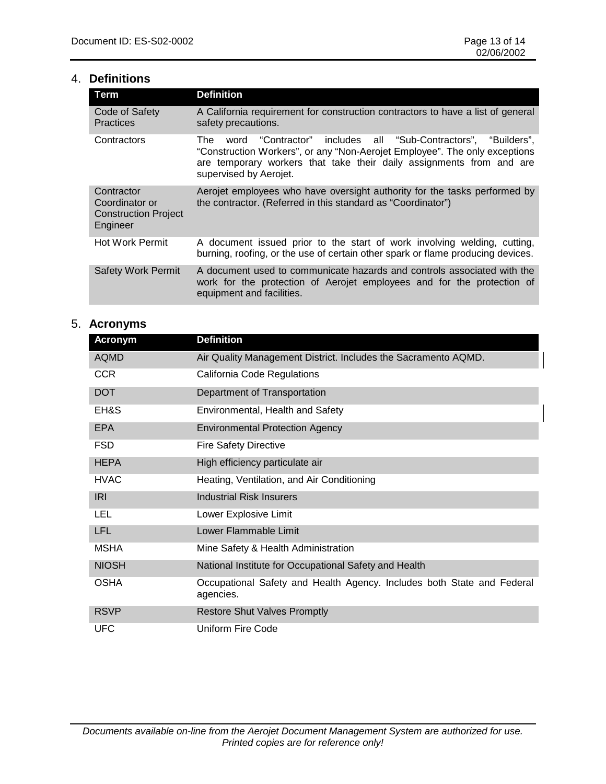## 4. **Definitions**

| <b>Term</b>                                                             | <b>Definition</b>                                                                                                                                                                                                                                       |
|-------------------------------------------------------------------------|---------------------------------------------------------------------------------------------------------------------------------------------------------------------------------------------------------------------------------------------------------|
| Code of Safety<br><b>Practices</b>                                      | A California requirement for construction contractors to have a list of general<br>safety precautions.                                                                                                                                                  |
| Contractors                                                             | "Contractor" includes all "Sub-Contractors", "Builders",<br>The<br>word<br>"Construction Workers", or any "Non-Aerojet Employee". The only exceptions<br>are temporary workers that take their daily assignments from and are<br>supervised by Aerojet. |
| Contractor<br>Coordinator or<br><b>Construction Project</b><br>Engineer | Aerojet employees who have oversight authority for the tasks performed by<br>the contractor. (Referred in this standard as "Coordinator")                                                                                                               |
| <b>Hot Work Permit</b>                                                  | A document issued prior to the start of work involving welding, cutting,<br>burning, roofing, or the use of certain other spark or flame producing devices.                                                                                             |
| <b>Safety Work Permit</b>                                               | A document used to communicate hazards and controls associated with the<br>work for the protection of Aerojet employees and for the protection of<br>equipment and facilities.                                                                          |

# 5. **Acronyms**

| <b>Acronym</b> | <b>Definition</b>                                                                   |
|----------------|-------------------------------------------------------------------------------------|
| <b>AQMD</b>    | Air Quality Management District. Includes the Sacramento AQMD.                      |
| <b>CCR</b>     | California Code Regulations                                                         |
| <b>DOT</b>     | Department of Transportation                                                        |
| EH&S           | Environmental, Health and Safety                                                    |
| <b>EPA</b>     | <b>Environmental Protection Agency</b>                                              |
| <b>FSD</b>     | <b>Fire Safety Directive</b>                                                        |
| <b>HEPA</b>    | High efficiency particulate air                                                     |
| <b>HVAC</b>    | Heating, Ventilation, and Air Conditioning                                          |
| <b>IRI</b>     | <b>Industrial Risk Insurers</b>                                                     |
| LEL            | Lower Explosive Limit                                                               |
| <b>LFL</b>     | Lower Flammable Limit                                                               |
| <b>MSHA</b>    | Mine Safety & Health Administration                                                 |
| <b>NIOSH</b>   | National Institute for Occupational Safety and Health                               |
| <b>OSHA</b>    | Occupational Safety and Health Agency. Includes both State and Federal<br>agencies. |
| <b>RSVP</b>    | <b>Restore Shut Valves Promptly</b>                                                 |
| <b>UFC</b>     | Uniform Fire Code                                                                   |